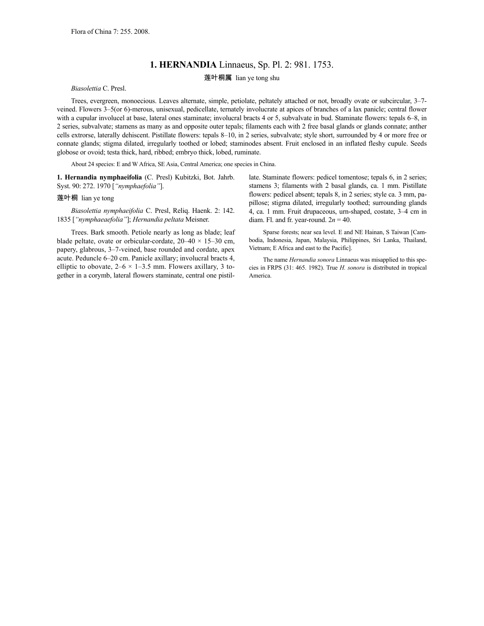## **1. HERNANDIA** Linnaeus, Sp. Pl. 2: 981. 1753.

## 莲叶桐属 lian ye tong shu

*Biasolettia* C. Presl.

Trees, evergreen, monoecious. Leaves alternate, simple, petiolate, peltately attached or not, broadly ovate or subcircular, 3–7 veined. Flowers 3–5(or 6)-merous, unisexual, pedicellate, ternately involucrate at apices of branches of a lax panicle; central flower with a cupular involucel at base, lateral ones staminate; involucral bracts 4 or 5, subvalvate in bud. Staminate flowers: tepals 6–8, in 2 series, subvalvate; stamens as many as and opposite outer tepals; filaments each with 2 free basal glands or glands connate; anther cells extrorse, laterally dehiscent. Pistillate flowers: tepals 8–10, in 2 series, subvalvate; style short, surrounded by 4 or more free or connate glands; stigma dilated, irregularly toothed or lobed; staminodes absent. Fruit enclosed in an inflated fleshy cupule. Seeds globose or ovoid; testa thick, hard, ribbed; embryo thick, lobed, ruminate.

About 24 species: E and W Africa, SE Asia, Central America; one species in China.

**1. Hernandia nymphaeifolia** (C. Presl) Kubitzki, Bot. Jahrb. Syst. 90: 272. 1970 [*"nymphaefolia"*].

## 莲叶桐 lian ye tong

*Biasolettia nymphaeifolia* C. Presl, Reliq. Haenk. 2: 142. 1835 [*"nymphaeaefolia"*]; *Hernandia peltata* Meisner.

Trees. Bark smooth. Petiole nearly as long as blade; leaf blade peltate, ovate or orbicular-cordate,  $20-40 \times 15-30$  cm, papery, glabrous, 3–7-veined, base rounded and cordate, apex acute. Peduncle 6–20 cm. Panicle axillary; involucral bracts 4, elliptic to obovate,  $2-6 \times 1-3.5$  mm. Flowers axillary, 3 together in a corymb, lateral flowers staminate, central one pistillate. Staminate flowers: pedicel tomentose; tepals 6, in 2 series; stamens 3; filaments with 2 basal glands, ca. 1 mm. Pistillate flowers: pedicel absent; tepals 8, in 2 series; style ca. 3 mm, papillose; stigma dilated, irregularly toothed; surrounding glands 4, ca. 1 mm. Fruit drupaceous, urn-shaped, costate, 3–4 cm in diam. Fl. and fr. year-round.  $2n = 40$ .

Sparse forests; near sea level. E and NE Hainan, S Taiwan [Cambodia, Indonesia, Japan, Malaysia, Philippines, Sri Lanka, Thailand, Vietnam; E Africa and east to the Pacific].

The name *Hernandia sonora* Linnaeus was misapplied to this species in FRPS (31: 465. 1982). True *H. sonora* is distributed in tropical America.